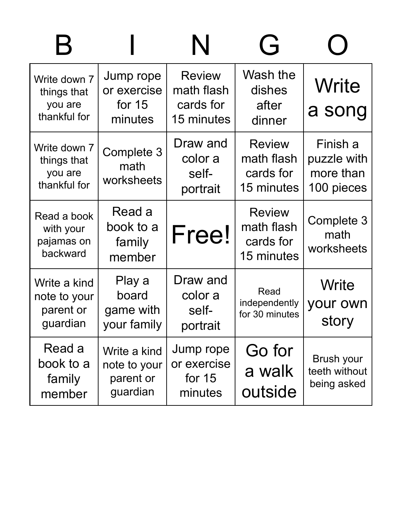| $\hat{R}$                                              |                                                       | N                                                      | $\overline{G}$                                         |                                                    |
|--------------------------------------------------------|-------------------------------------------------------|--------------------------------------------------------|--------------------------------------------------------|----------------------------------------------------|
| Write down 7<br>things that<br>you are<br>thankful for | Jump rope<br>or exercise<br>for $15$<br>minutes       | <b>Review</b><br>math flash<br>cards for<br>15 minutes | Wash the<br>dishes<br>after<br>dinner                  | Write<br>a song                                    |
| Write down 7<br>things that<br>you are<br>thankful for | Complete 3<br>math<br>worksheets                      | Draw and<br>color a<br>self-<br>portrait               | <b>Review</b><br>math flash<br>cards for<br>15 minutes | Finish a<br>puzzle with<br>more than<br>100 pieces |
| Read a book<br>with your<br>pajamas on<br>backward     | Read a<br>book to a<br>family<br>member               | Free!                                                  | <b>Review</b><br>math flash<br>cards for<br>15 minutes | Complete 3<br>math<br>worksheets                   |
| Write a kind<br>note to your<br>parent or<br>guardian  | Play a<br>board<br>game with<br>your family           | Draw and<br>color a<br>self-<br>portrait               | Read<br>independently<br>for 30 minutes                | Write<br>your own<br>story                         |
| Read a<br>book to a<br>family<br>member                | Write a kind<br>note to your<br>parent or<br>guardian | Jump rope<br>or exercise<br>for $15$<br>minutes        | Go for<br>a walk<br>outside                            | Brush your<br>teeth without<br>being asked         |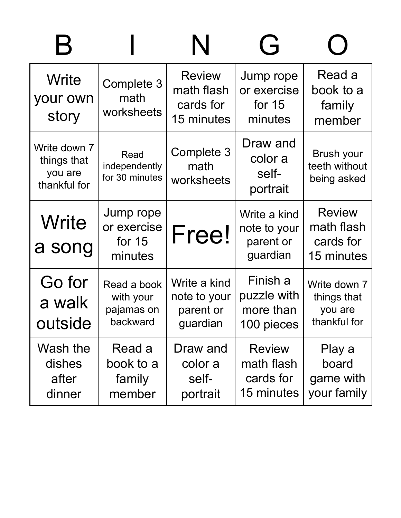| В                                                      |                                                    | N                                                      | $\overline{G}$                                         |                                                        |
|--------------------------------------------------------|----------------------------------------------------|--------------------------------------------------------|--------------------------------------------------------|--------------------------------------------------------|
| Write<br>your own<br>story                             | Complete 3<br>math<br>worksheets                   | <b>Review</b><br>math flash<br>cards for<br>15 minutes | Jump rope<br>or exercise<br>for $15$<br>minutes        | Read a<br>book to a<br>family<br>member                |
| Write down 7<br>things that<br>you are<br>thankful for | Read<br>independently<br>for 30 minutes            | Complete 3<br>math<br>worksheets                       | Draw and<br>color a<br>self-<br>portrait               | Brush your<br>teeth without<br>being asked             |
| <b>Write</b><br>a song                                 | Jump rope<br>or exercise<br>for $15$<br>minutes    | Free!                                                  | Write a kind<br>note to your<br>parent or<br>guardian  | <b>Review</b><br>math flash<br>cards for<br>15 minutes |
| Go for<br>a walk<br>outside                            | Read a book<br>with your<br>pajamas on<br>backward | Write a kind<br>note to your<br>parent or<br>guardian  | Finish a<br>puzzle with<br>more than<br>100 pieces     | Write down 7<br>things that<br>you are<br>thankful for |
| Wash the<br>dishes<br>after<br>dinner                  | Read a<br>book to a<br>family<br>member            | Draw and<br>color a<br>self-<br>portrait               | <b>Review</b><br>math flash<br>cards for<br>15 minutes | Play a<br>board<br>game with<br>your family            |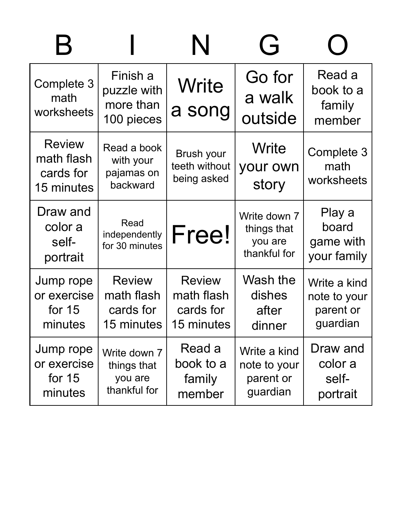| Β                                                      |                                                        | N                                                      | $\overline{G}$                                         |                                                       |
|--------------------------------------------------------|--------------------------------------------------------|--------------------------------------------------------|--------------------------------------------------------|-------------------------------------------------------|
| Complete 3<br>math<br>worksheets                       | Finish a<br>puzzle with<br>more than<br>100 pieces     | Write<br>a song                                        | Go for<br>a walk<br>outside                            | Read a<br>book to a<br>family<br>member               |
| <b>Review</b><br>math flash<br>cards for<br>15 minutes | Read a book<br>with your<br>pajamas on<br>backward     | Brush your<br>teeth without<br>being asked             | Write<br>your own<br>story                             | Complete 3<br>math<br>worksheets                      |
| Draw and<br>color a<br>self-<br>portrait               | Read<br>independently<br>for 30 minutes                | Free!                                                  | Write down 7<br>things that<br>you are<br>thankful for | Play a<br>board<br>game with<br>your family           |
| Jump rope<br>or exercise<br>for $15$<br>minutes        | <b>Review</b><br>math flash<br>cards for<br>15 minutes | <b>Review</b><br>math flash<br>cards for<br>15 minutes | Wash the<br>dishes<br>after<br>dinner                  | Write a kind<br>note to your<br>parent or<br>guardian |
| Jump rope<br>or exercise<br>for $15$<br>minutes        | Write down 7<br>things that<br>you are<br>thankful for | Read a<br>book to a<br>family<br>member                | Write a kind<br>note to your<br>parent or<br>guardian  | Draw and<br>color a<br>self-<br>portrait              |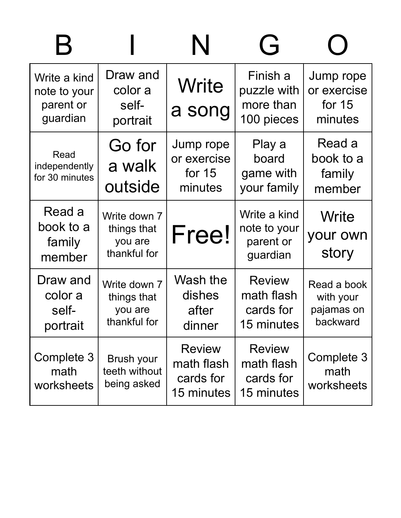| Н                                                     |                                                        | N                                                      | $\overline{G}$                                         |                                                    |
|-------------------------------------------------------|--------------------------------------------------------|--------------------------------------------------------|--------------------------------------------------------|----------------------------------------------------|
| Write a kind<br>note to your<br>parent or<br>guardian | Draw and<br>color a<br>self-<br>portrait               | Write<br>a song                                        | Finish a<br>puzzle with<br>more than<br>100 pieces     | Jump rope<br>or exercise<br>for $15$<br>minutes    |
| Read<br>independently<br>for 30 minutes               | Go for<br>a walk<br>outside                            | Jump rope<br>or exercise<br>for $15$<br>minutes        | Play a<br>board<br>game with<br>your family            | Read a<br>book to a<br>family<br>member            |
| Read a<br>book to a<br>family<br>member               | Write down 7<br>things that<br>you are<br>thankful for | Free!                                                  | Write a kind<br>note to your<br>parent or<br>guardian  | Write<br>your own<br>story                         |
| Draw and<br>color a<br>self-<br>portrait              | Write down 7<br>things that<br>you are<br>thankful for | Wash the<br>dishes<br>after<br>dinner                  | <b>Review</b><br>math flash<br>cards for<br>15 minutes | Read a book<br>with your<br>pajamas on<br>backward |
| Complete 3<br>math<br>worksheets                      | Brush your<br>teeth without<br>being asked             | <b>Review</b><br>math flash<br>cards for<br>15 minutes | <b>Review</b><br>math flash<br>cards for<br>15 minutes | Complete 3<br>math<br>worksheets                   |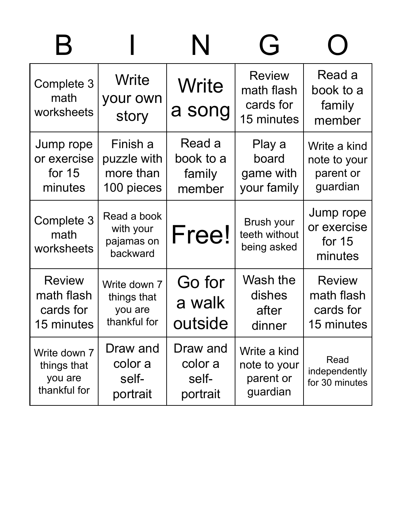| B                                                      |                                                        | N                                        | $\overline{G}$                                         |                                                        |
|--------------------------------------------------------|--------------------------------------------------------|------------------------------------------|--------------------------------------------------------|--------------------------------------------------------|
| Complete 3<br>math<br>worksheets                       | <b>Write</b><br>your own<br>story                      | Write<br>a song                          | <b>Review</b><br>math flash<br>cards for<br>15 minutes | Read a<br>book to a<br>family<br>member                |
| Jump rope<br>or exercise<br>for $15$<br>minutes        | Finish a<br>puzzle with<br>more than<br>100 pieces     | Read a<br>book to a<br>family<br>member  | Play a<br>board<br>game with<br>your family            | Write a kind<br>note to your<br>parent or<br>guardian  |
| Complete 3<br>math<br>worksheets                       | Read a book<br>with your<br>pajamas on<br>backward     | Free!                                    | Brush your<br>teeth without<br>being asked             | Jump rope<br>or exercise<br>for $15$<br>minutes        |
| <b>Review</b><br>math flash<br>cards for<br>15 minutes | Write down 7<br>things that<br>you are<br>thankful for | Go for<br>a walk<br>outside              | Wash the<br>dishes<br>after<br>dinner                  | <b>Review</b><br>math flash<br>cards for<br>15 minutes |
| Write down 7<br>things that<br>you are<br>thankful for | Draw and<br>color a<br>self-<br>portrait               | Draw and<br>color a<br>self-<br>portrait | Write a kind<br>note to your<br>parent or<br>guardian  | Read<br>independently<br>for 30 minutes                |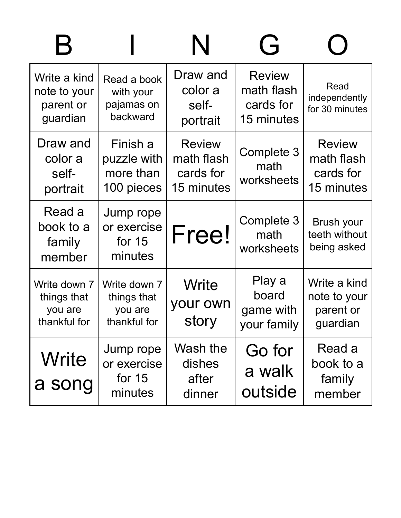| $\bm{\mathsf{B}}$                                      |                                                        | N                                                      | $\overline{\mathsf{G}}$                                |                                                        |
|--------------------------------------------------------|--------------------------------------------------------|--------------------------------------------------------|--------------------------------------------------------|--------------------------------------------------------|
| Write a kind<br>note to your<br>parent or<br>guardian  | Read a book<br>with your<br>pajamas on<br>backward     | Draw and<br>color a<br>self-<br>portrait               | <b>Review</b><br>math flash<br>cards for<br>15 minutes | Read<br>independently<br>for 30 minutes                |
| Draw and<br>color a<br>self-<br>portrait               | Finish a<br>puzzle with<br>more than<br>100 pieces     | <b>Review</b><br>math flash<br>cards for<br>15 minutes | Complete 3<br>math<br>worksheets                       | <b>Review</b><br>math flash<br>cards for<br>15 minutes |
| Read a<br>book to a<br>family<br>member                | Jump rope<br>or exercise<br>for $15$<br>minutes        | Free!                                                  | Complete 3<br>math<br>worksheets                       | Brush your<br>teeth without<br>being asked             |
| Write down 7<br>things that<br>you are<br>thankful for | Write down 7<br>things that<br>you are<br>thankful for | Write<br>your own<br>story                             | Play a<br>board<br>game with<br>your family            | Write a kind<br>note to your<br>parent or<br>guardian  |
| Write<br>a song                                        | Jump rope<br>or exercise<br>for $15$<br>minutes        | Wash the<br>dishes<br>after<br>dinner                  | Go for<br>a walk<br>outside                            | Read a<br>book to a<br>family<br>member                |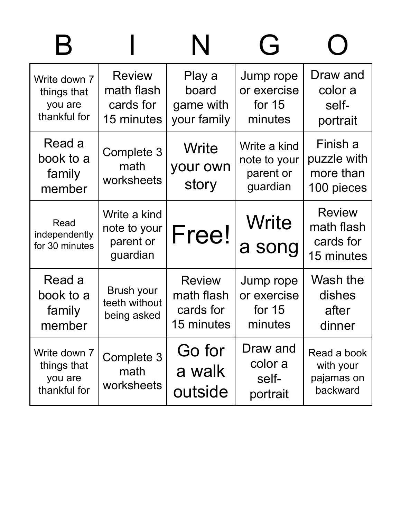| $\boldsymbol{\mathsf{B}}$                              |                                                        | N                                                      | $\overline{\mathsf{G}}$                               |                                                        |
|--------------------------------------------------------|--------------------------------------------------------|--------------------------------------------------------|-------------------------------------------------------|--------------------------------------------------------|
| Write down 7<br>things that<br>you are<br>thankful for | <b>Review</b><br>math flash<br>cards for<br>15 minutes | Play a<br>board<br>game with<br>your family            | Jump rope<br>or exercise<br>for $15$<br>minutes       | Draw and<br>color a<br>self-<br>portrait               |
| Read a<br>book to a<br>family<br>member                | Complete 3<br>math<br>worksheets                       | Write<br>your own<br>story                             | Write a kind<br>note to your<br>parent or<br>guardian | Finish a<br>puzzle with<br>more than<br>100 pieces     |
| Read<br>independently<br>for 30 minutes                | Write a kind<br>note to your<br>parent or<br>guardian  | Free!                                                  | Write<br>a song                                       | <b>Review</b><br>math flash<br>cards for<br>15 minutes |
| Read a<br>book to a<br>family<br>member                | Brush your<br>teeth without<br>being asked             | <b>Review</b><br>math flash<br>cards for<br>15 minutes | Jump rope<br>or exercise<br>for $15$<br>minutes       | Wash the<br>dishes<br>after<br>dinner                  |
| Write down 7<br>things that<br>you are<br>thankful for | Complete 3<br>math<br>worksheets                       | Go for<br>a walk<br>outside                            | Draw and<br>color a<br>self-<br>portrait              | Read a book<br>with your<br>pajamas on<br>backward     |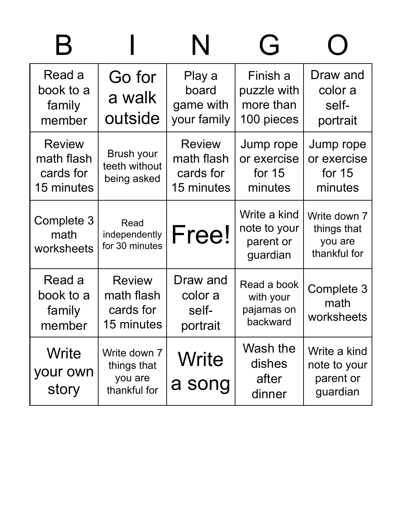|                                                        |                                                        | N                                                      | 【 一】                                                  |                                                        |
|--------------------------------------------------------|--------------------------------------------------------|--------------------------------------------------------|-------------------------------------------------------|--------------------------------------------------------|
| Read a<br>book to a<br>family<br>member                | Go for<br>a walk<br>outside                            | Play a<br>board<br>game with<br>your family            | Finish a<br>puzzle with<br>more than<br>100 pieces    | Draw and<br>color a<br>self-<br>portrait               |
| <b>Review</b><br>math flash<br>cards for<br>15 minutes | Brush your<br>teeth without<br>being asked             | <b>Review</b><br>math flash<br>cards for<br>15 minutes | Jump rope<br>or exercise<br>for $15$<br>minutes       | Jump rope<br>or exercise<br>for $15$<br>minutes        |
| Complete 3<br>math<br>worksheets                       | Read<br>independently<br>for 30 minutes                | Free!                                                  | Write a kind<br>note to your<br>parent or<br>guardian | Write down 7<br>things that<br>you are<br>thankful for |
| Read a<br>book to a<br>family<br>member                | <b>Review</b><br>math flash<br>cards for<br>15 minutes | Draw and<br>color a<br>self-<br>portrait               | Read a book<br>with your<br>pajamas on<br>backward    | Complete 3<br>math<br>worksheets                       |
| Write<br>your own<br>story                             | Write down 7<br>things that<br>you are<br>thankful for | Write<br>a song                                        | Wash the<br>dishes<br>after<br>dinner                 | Write a kind<br>note to your<br>parent or<br>guardian  |